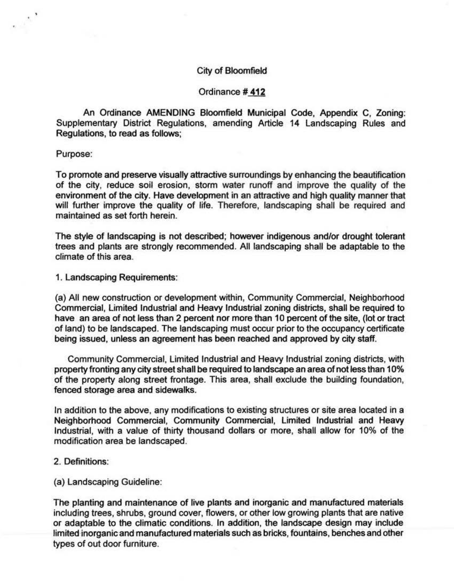#### City of Bloomfield

#### Ordinance# **412**

An Ordinance AMENDING Bloomfield Municipal Code, Appendix C, Zoning: Supplementary District Regulations, amending Article 14 Landscaping Rules and Regulations, to read as follows;

Purpose:

To promote and preserve visually attractive surroundings by enhancing the beautification of the city, reduce soil erosion, storm water runoff and improve the quality of the environment of the city. Have development in an attractive and high quality manner that will further improve the quality of life. Therefore, landscaping shall be required and maintained as set forth herein.

The style of landscaping is not described; however indigenous and/or drought tolerant trees and plants are strongly recommended. All landscaping shall be adaptable to the climate of this area.

1. Landscaping Requirements:

(a) All new construction or development within, Community Commercial, Neighborhood Commercial, Limited Industrial and Heavy Industrial zoning districts, shall be required to have an area of not less than 2 percent nor more than 10 percent of the site, (lot or tract of land) to be landscaped. The landscaping must occur prior to the occupancy certificate being issued, unless an agreement has been reached and approved by city staff.

Community Commercial, Limited Industrial and Heavy Industrial zoning districts, with property fronting any city street shall be required to landscape an area of not less than 10% of the property along street frontage. This area, shall exclude the building foundation, fenced storage area and sidewalks.

In addition to the above, any modifications to existing structures or site area located in a Neighborhood Commercial, Community Commercial, Limited Industrial and Heavy Industrial, with a value of thirty thousand dollars or more, shall allow for 10% of the modification area be landscaped.

- 2. Definitions:
- (a) Landscaping Guideline:

The planting and maintenance of live plants and inorganic and manufactured materials including trees, shrubs, ground cover, flowers, or other low growing plants that are native or adaptable to the climatic conditions. In addition, the landscape design may include limited inorganic and manufactured materials such as bricks, fountains, benches and other types of out door furniture.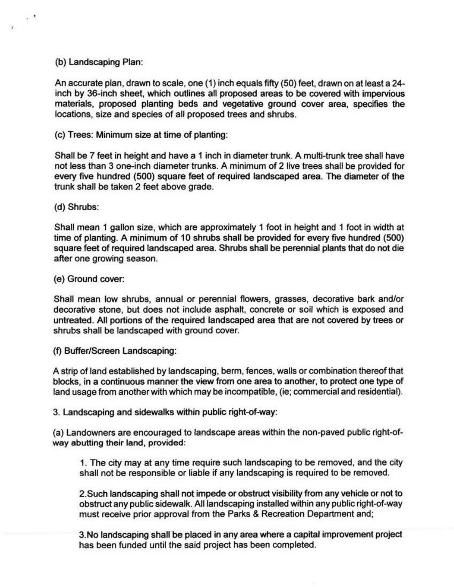## (b) Landscaping Plan:

 $\ddot{\phantom{a}}$ 

 $\mathbf{z}$ 

An accurate plan, drawn to scale, one (1) inch equals fifty (50) feet. drawn on at least a 24 inch by 36-inch sheet, which outlines all proposed areas to be covered with impervious materials, proposed planting beds and vegetative ground cover area, specifies the locations, size and species of all proposed trees and shrubs.

(c) Trees: Minimum size at time of planting:

Shall be 7 feet in height and have a 1 inch in diameter trunk. A multi-trunk tree shall have not less than 3 one-inch diameter trunks. A minimum of 2 live trees shall be provided for every five hundred (500) square feet of required landscaped area. The diameter of the trunk shall be taken 2 feet above grade.

## (d) Shrubs:

Shall mean 1 gallon size, which are approximately 1 foot in height and 1 foot in width at time of planting. A minimum of 10 shrubs shall be provided for every five hundred (500) square feet of required landscaped area. Shrubs shall be perennial plants that do not die after one growing season.

# (e) Ground cover:

Shall mean low shrubs, annual or perennial flowers, grasses, decorative bark and/or decorative stone, but does not include asphalt, concrete or soil which is exposed and untreated. All portions of the required landscaped area that are not covered by trees or shrubs shall be landscaped with ground cover.

(f) Buffer/Screen Landscaping:

A strip of land established by landscaping, berm, fences, walls or combination thereof that blocks, in a continuous manner the view from one area to another, to protect one type of land usage from another with which may be incompatible, (ie; commercial and residential}.

3. Landscaping and sidewalks within public right-of-way:

(a} Landowners are encouraged to landscape areas within the non-paved public right-ofway abutting their land, provided:

1. The city may at any time require such landscaping to be removed, and the city shall not be responsible or liable if any landscaping is required to be removed.

2.Such landscaping shall not impede or obstruct visibility from any vehicle or not to obstruct any public sidewalk. All landscaping installed within any public right-of-way must receive prior approval from the Parks & Recreation Department and;

3. No landscaping shall be placed in any area where a capital improvement project has been funded until the said project has been completed.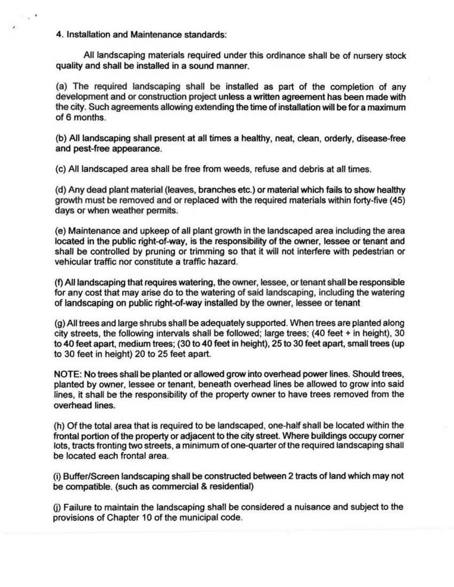4. Installation and Maintenance standards:

All landscaping materials required under this ordinance shall be of nursery stock quality and shall be installed in a sound manner.

(a) The required landscaping shall be installed as part of the completion of any development and or construction project unless a written agreement has been made with the city. Such agreements allowing extending the time of installation will be for a maximum of 6 months.

(b) All landscaping shall present at all times a healthy, neat, clean, orderty, disease-free and pest-free appearance.

(c) All landscaped area shall be free from weeds, refuse and debris at all times.

( d) Any dead plant material (leaves, branches etc.) or material which fails to show healthy growth must be removed and or replaced with the required materials within forty-five (45) days or when weather permits.

(e) Maintenance and upkeep of all plant growth in the landscaped area including the area located in the public right-of-way, is the responsibility of the owner, lessee or tenant and shall be controlled by pruning or trimming so that it will not interfere with pedestrian or vehicular traffic nor constitute a traffic hazard.

(f) All landscaping that requires watering, the owner, lessee, or tenant shall be responsible for any cost that may arise do to the watering of said landscaping, including the watering of landscaping on public right-of-way installed by the owner, lessee or tenant

(g) All trees and large shrubs shall be adequately supported. When trees are planted along city streets, the following intervals shall be followed; large trees; (40 feet + in height), 30 to 40 feet apart, medium trees; (30 to 40 feet in height), 25 to 30 feet apart, small trees (up to 30 feet in height) 20 to 25 feet apart.

NOTE: No trees shall be planted or allowed grow into overhead power lines. Should trees, planted by owner, lessee or tenant, beneath overhead lines be allowed to grow into said lines, it shall be the responsibility of the property owner to have trees removed from the overhead lines.

(h) Of the total area that is required to be landscaped, one-half shall be located within the frontal portion of the property or adjacent to the city street. Where buildings occupy comer lots, tracts fronting two streets, a minimum of one-quarter of the required landscaping shall be located each frontal area.

(i) Buffer/Screen landscaping shall be constructed between 2 tracts of land which may not be compatible. (such as commercial & residential)

0) Failure to maintain the landscaping shall be considered a nuisance and subject to the provisions of Chapter 10 of the municipal code.